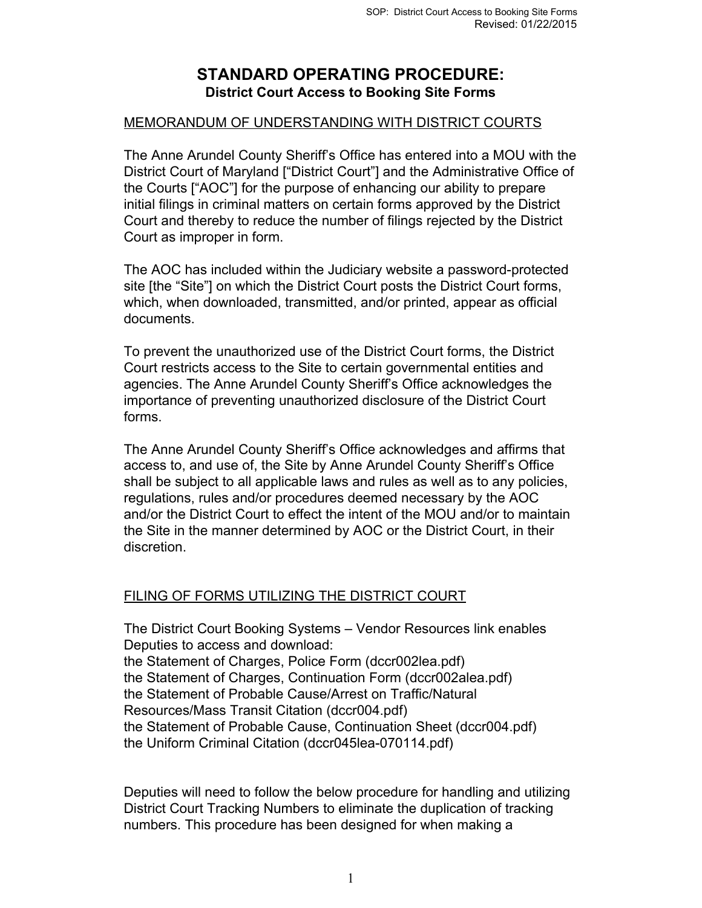## **STANDARD OPERATING PROCEDURE: District Court Access to Booking Site Forms**

## MEMORANDUM OF UNDERSTANDING WITH DISTRICT COURTS

The Anne Arundel County Sheriff's Office has entered into a MOU with the District Court of Maryland ["District Court"] and the Administrative Office of the Courts ["AOC"] for the purpose of enhancing our ability to prepare initial filings in criminal matters on certain forms approved by the District Court and thereby to reduce the number of filings rejected by the District Court as improper in form.

The AOC has included within the Judiciary website a password-protected site [the "Site"] on which the District Court posts the District Court forms, which, when downloaded, transmitted, and/or printed, appear as official documents.

To prevent the unauthorized use of the District Court forms, the District Court restricts access to the Site to certain governmental entities and agencies. The Anne Arundel County Sheriff's Office acknowledges the importance of preventing unauthorized disclosure of the District Court forms.

The Anne Arundel County Sheriff's Office acknowledges and affirms that access to, and use of, the Site by Anne Arundel County Sheriff's Office shall be subject to all applicable laws and rules as well as to any policies, regulations, rules and/or procedures deemed necessary by the AOC and/or the District Court to effect the intent of the MOU and/or to maintain the Site in the manner determined by AOC or the District Court, in their discretion.

## FILING OF FORMS UTILIZING THE DISTRICT COURT

The District Court Booking Systems – Vendor Resources link enables Deputies to access and download: the Statement of Charges, Police Form (dccr002lea.pdf) the Statement of Charges, Continuation Form (dccr002alea.pdf) the Statement of Probable Cause/Arrest on Traffic/Natural Resources/Mass Transit Citation (dccr004.pdf) the Statement of Probable Cause, Continuation Sheet (dccr004.pdf) the Uniform Criminal Citation (dccr045lea-070114.pdf)

Deputies will need to follow the below procedure for handling and utilizing District Court Tracking Numbers to eliminate the duplication of tracking numbers. This procedure has been designed for when making a